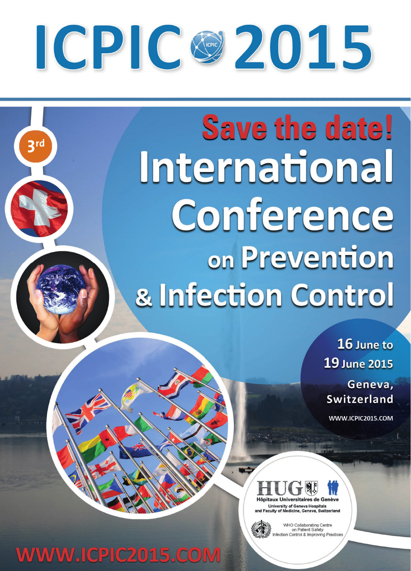# ICPIC®2015

## **Save the date!** International **Conference** on Prevention & Infection Control

16 June to **19 June 2015** 

Geneva, **Switzerland** 

WWW.ICPIC2015.COM





Patient Safety

## WWW.ICPIC2015.COM

**RIC**